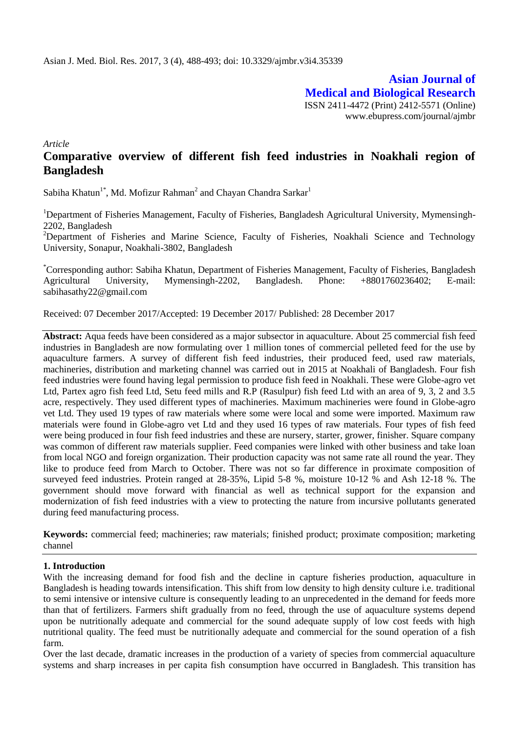**Asian Journal of Medical and Biological Research** ISSN 2411-4472 (Print) 2412-5571 (Online) www.ebupress.com/journal/ajmbr

*Article*

# **Comparative overview of different fish feed industries in Noakhali region of Bangladesh**

Sabiha Khatun<sup>1\*</sup>, Md. Mofizur Rahman<sup>2</sup> and Chayan Chandra Sarkar<sup>1</sup>

<sup>1</sup>Department of Fisheries Management, Faculty of Fisheries, Bangladesh Agricultural University, Mymensingh-2202, Bangladesh

<sup>2</sup>Department of Fisheries and Marine Science, Faculty of Fisheries, Noakhali Science and Technology University, Sonapur, Noakhali-3802, Bangladesh

\*Corresponding author: Sabiha Khatun, Department of Fisheries Management, Faculty of Fisheries, Bangladesh Agricultural University, Mymensingh-2202, Bangladesh. Phone: +8801760236402; E-mail: [sabihasathy22@gmail.com](mailto:sabihasathy22@gmail.com)

Received: 07 December 2017/Accepted: 19 December 2017/ Published: 28 December 2017

**Abstract:** Aqua feeds have been considered as a major subsector in aquaculture. About 25 commercial fish feed industries in Bangladesh are now formulating over 1 million tones of commercial pelleted feed for the use by aquaculture farmers. A survey of different fish feed industries, their produced feed, used raw materials, machineries, distribution and marketing channel was carried out in 2015 at Noakhali of Bangladesh. Four fish feed industries were found having legal permission to produce fish feed in Noakhali. These were Globe-agro vet Ltd, Partex agro fish feed Ltd, Setu feed mills and R.P (Rasulpur) fish feed Ltd with an area of 9, 3, 2 and 3.5 acre, respectively. They used different types of machineries. Maximum machineries were found in Globe-agro vet Ltd. They used 19 types of raw materials where some were local and some were imported. Maximum raw materials were found in Globe-agro vet Ltd and they used 16 types of raw materials. Four types of fish feed were being produced in four fish feed industries and these are nursery, starter, grower, finisher. Square company was common of different raw materials supplier. Feed companies were linked with other business and take loan from local NGO and foreign organization. Their production capacity was not same rate all round the year. They like to produce feed from March to October. There was not so far difference in proximate composition of surveyed feed industries. Protein ranged at 28-35%, Lipid 5-8 %, moisture 10-12 % and Ash 12-18 %. The government should move forward with financial as well as technical support for the expansion and modernization of fish feed industries with a view to protecting the nature from incursive pollutants generated during feed manufacturing process.

**Keywords:** commercial feed; machineries; raw materials; finished product; proximate composition; marketing channel

## **1. Introduction**

With the increasing demand for food fish and the decline in capture fisheries production, aquaculture in Bangladesh is heading towards intensification. This shift from low density to high density culture i.e. traditional to semi intensive or intensive culture is consequently leading to an unprecedented in the demand for feeds more than that of fertilizers. Farmers shift gradually from no feed, through the use of aquaculture systems depend upon be nutritionally adequate and commercial for the sound adequate supply of low cost feeds with high nutritional quality. The feed must be nutritionally adequate and commercial for the sound operation of a fish farm.

Over the last decade, dramatic increases in the production of a variety of species from commercial aquaculture systems and sharp increases in per capita fish consumption have occurred in Bangladesh. This transition has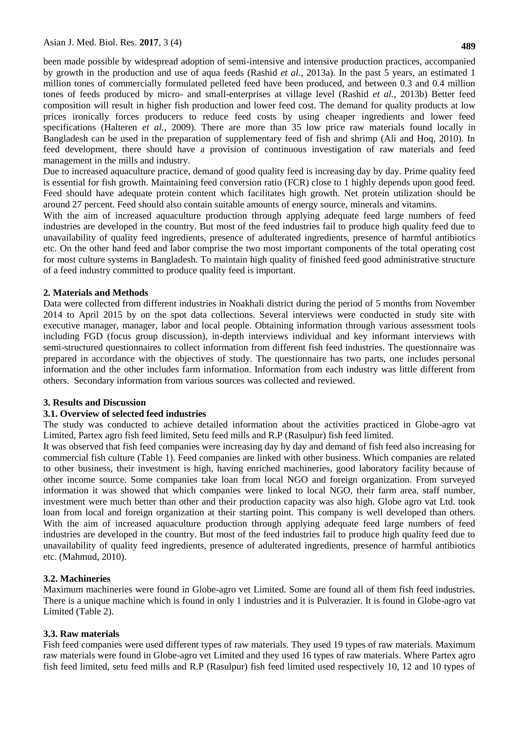**489**

been made possible by widespread adoption of semi-intensive and intensive production practices, accompanied by growth in the production and use of aqua feeds (Rashid *et al.,* 2013a). In the past 5 years, an estimated 1 million tones of commercially formulated pelleted feed have been produced, and between 0.3 and 0.4 million tones of feeds produced by micro- and small-enterprises at village level (Rashid *et al.*, 2013b) Better feed composition will result in higher fish production and lower feed cost. The demand for quality products at low prices ironically forces producers to reduce feed costs by using cheaper ingredients and lower feed specifications (Halteren *et al., 2009*). There are more than 35 low price raw materials found locally in Bangladesh can be used in the preparation of supplementary feed of fish and shrimp (Ali and Hoq, 2010). In feed development, there should have a provision of continuous investigation of raw materials and feed management in the mills and industry.

Due to increased aquaculture practice, demand of good quality feed is increasing day by day. Prime quality feed is essential for fish growth. Maintaining feed conversion ratio (FCR) close to 1 highly depends upon good feed. Feed should have adequate protein content which facilitates high growth. Net protein utilization should be around 27 percent. Feed should also contain suitable amounts of energy source, minerals and vitamins.

With the aim of increased aquaculture production through applying adequate feed large numbers of feed industries are developed in the country. But most of the feed industries fail to produce high quality feed due to unavailability of quality feed ingredients, presence of adulterated ingredients, presence of harmful antibiotics etc. On the other hand feed and labor comprise the two most important components of the total operating cost for most culture systems in Bangladesh. To maintain high quality of finished feed good administrative structure of a feed industry committed to produce quality feed is important.

#### **2. Materials and Methods**

Data were collected from different industries in Noakhali district during the period of 5 months from November 2014 to April 2015 by on the spot data collections. Several interviews were conducted in study site with executive manager, manager, labor and local people. Obtaining information through various assessment tools including FGD (focus group discussion), in-depth interviews individual and key informant interviews with semi-structured questionnaires to collect information from different fish feed industries. The questionnaire was prepared in accordance with the objectives of study. The questionnaire has two parts, one includes personal information and the other includes farm information. Information from each industry was little different from others. Secondary information from various sources was collected and reviewed.

#### **3. Results and Discussion**

### **3.1. Overview of selected feed industries**

The study was conducted to achieve detailed information about the activities practiced in Globe-agro vat Limited, Partex agro fish feed limited, Setu feed mills and R.P (Rasulpur) fish feed limited.

It was observed that fish feed companies were increasing day by day and demand of fish feed also increasing for commercial fish culture (Table 1). Feed companies are linked with other business. Which companies are related to other business, their investment is high, having enriched machineries, good laboratory facility because of other income source. Some companies take loan from local NGO and foreign organization. From surveyed information it was showed that which companies were linked to local NGO, their farm area, staff number, investment were much better than other and their production capacity was also high. Globe agro vat Ltd. took loan from local and foreign organization at their starting point. This company is well developed than others. With the aim of increased aquaculture production through applying adequate feed large numbers of feed industries are developed in the country. But most of the feed industries fail to produce high quality feed due to unavailability of quality feed ingredients, presence of adulterated ingredients, presence of harmful antibiotics etc. (Mahmud, 2010).

#### **3.2. Machineries**

Maximum machineries were found in Globe-agro vet Limited. Some are found all of them fish feed industries. There is a unique machine which is found in only 1 industries and it is Pulverazier. It is found in Globe-agro vat Limited (Table 2).

#### **3.3. Raw materials**

Fish feed companies were used different types of raw materials. They used 19 types of raw materials. Maximum raw materials were found in Globe-agro vet Limited and they used 16 types of raw materials. Where Partex agro fish feed limited, setu feed mills and R.P (Rasulpur) fish feed limited used respectively 10, 12 and 10 types of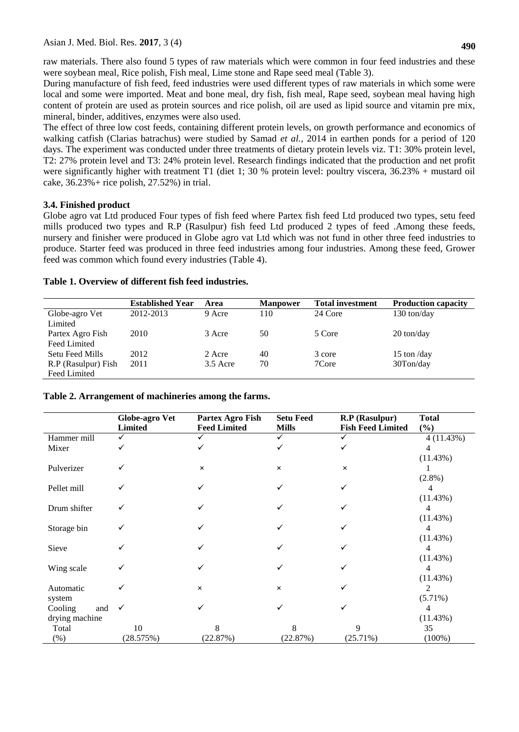raw materials. There also found 5 types of raw materials which were common in four feed industries and these were soybean meal, Rice polish, Fish meal, Lime stone and Rape seed meal (Table 3).

During manufacture of fish feed, feed industries were used different types of raw materials in which some were local and some were imported. Meat and bone meal, dry fish, fish meal, Rape seed, soybean meal having high content of protein are used as protein sources and rice polish, oil are used as lipid source and vitamin pre mix, mineral, binder, additives, enzymes were also used.

The effect of three low cost feeds, containing different protein levels, on growth performance and economics of walking catfish (Clarias batrachus) were studied by Samad *et al.,* 2014 in earthen ponds for a period of 120 days. The experiment was conducted under three treatments of dietary protein levels viz. T1: 30% protein level, T2: 27% protein level and T3: 24% protein level. Research findings indicated that the production and net profit were significantly higher with treatment T1 (diet 1; 30 % protein level: poultry viscera, 36.23% + mustard oil cake, 36.23%+ rice polish, 27.52%) in trial.

## **3.4. Finished product**

Globe agro vat Ltd produced Four types of fish feed where Partex fish feed Ltd produced two types, setu feed mills produced two types and R.P (Rasulpur) fish feed Ltd produced 2 types of feed .Among these feeds, nursery and finisher were produced in Globe agro vat Ltd which was not fund in other three feed industries to produce. Starter feed was produced in three feed industries among four industries. Among these feed, Grower feed was common which found every industries (Table 4).

|                     | <b>Established Year</b> | Area       | <b>Manpower</b> | <b>Total investment</b> | <b>Production capacity</b>             |
|---------------------|-------------------------|------------|-----------------|-------------------------|----------------------------------------|
| Globe-agro Vet      | 2012-2013               | 9 Acre     | 110             | 24 Core                 | $130 \text{ ton/day}$                  |
| Limited             |                         |            |                 |                         |                                        |
| Partex Agro Fish    | 2010                    | 3 Acre     | 50              | 5 Core                  | $20 \text{ ton/day}$                   |
| Feed Limited        |                         |            |                 |                         |                                        |
| Setu Feed Mills     | 2012                    | 2 Acre     | 40              | 3 core                  | 15 ton $\frac{\text{day}}{\text{day}}$ |
| R.P (Rasulpur) Fish | 2011                    | $3.5$ Acre | 70              | 7Core                   | 30Ton/day                              |
| Feed Limited        |                         |            |                 |                         |                                        |

## **Table 1. Overview of different fish feed industries.**

## **Table 2. Arrangement of machineries among the farms.**

|                | <b>Globe-agro Vet</b> | Partex Agro Fish    | <b>Setu Feed</b> | R.P (Rasulpur)           | <b>Total</b> |
|----------------|-----------------------|---------------------|------------------|--------------------------|--------------|
|                | <b>Limited</b>        | <b>Feed Limited</b> | <b>Mills</b>     | <b>Fish Feed Limited</b> | (%)          |
| Hammer mill    | ✓                     |                     | ✓                |                          | 4(11.43%)    |
| Mixer          |                       |                     |                  |                          | 4            |
|                |                       |                     |                  |                          | (11.43%)     |
| Pulverizer     |                       | $\times$            | $\times$         | $\times$                 |              |
|                |                       |                     |                  |                          | $(2.8\%)$    |
| Pellet mill    |                       |                     |                  |                          |              |
|                |                       |                     |                  |                          | (11.43%)     |
| Drum shifter   |                       |                     |                  |                          | 4            |
|                |                       |                     |                  |                          | (11.43%)     |
| Storage bin    |                       |                     |                  |                          | 4            |
|                |                       |                     |                  |                          | (11.43%)     |
| Sieve          |                       |                     |                  |                          | 4            |
|                |                       |                     |                  |                          | (11.43%)     |
| Wing scale     |                       |                     |                  |                          | 4            |
|                |                       |                     |                  |                          | (11.43%)     |
| Automatic      |                       | $\times$            | $\times$         |                          | 2            |
| system         |                       |                     |                  |                          | $(5.71\%)$   |
| Cooling<br>and | $\checkmark$          | ✓                   |                  |                          | 4            |
| drying machine |                       |                     |                  |                          | (11.43%)     |
| Total          | 10                    | 8                   | 8                | 9                        | 35           |
| $(\%)$         | (28.575%)             | (22.87%)            | (22.87%)         | (25.71%)                 | $(100\%)$    |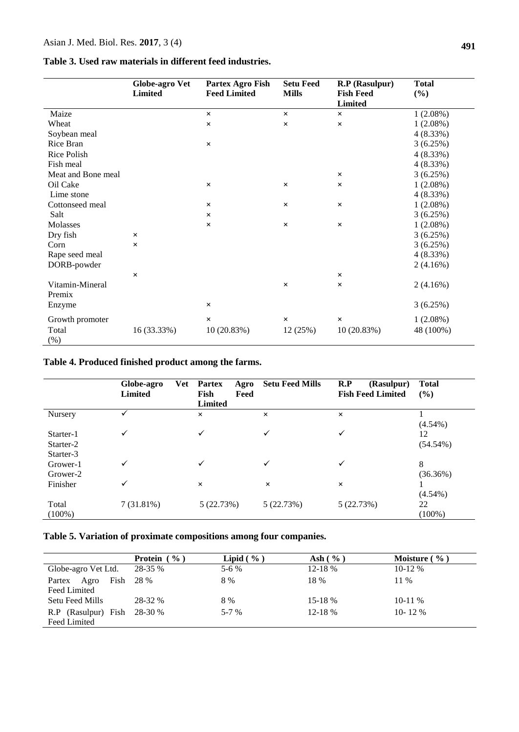|                           | <b>Globe-agro Vet</b><br><b>Limited</b> | Partex Agro Fish<br><b>Feed Limited</b> | <b>Setu Feed</b><br><b>Mills</b> | R.P (Rasulpur)<br><b>Fish Feed</b> | <b>Total</b><br>(%) |
|---------------------------|-----------------------------------------|-----------------------------------------|----------------------------------|------------------------------------|---------------------|
| Maize                     |                                         |                                         |                                  | <b>Limited</b>                     | $1(2.08\%)$         |
|                           |                                         | $\times$                                | $\times$                         | $\times$                           |                     |
| Wheat                     |                                         | $\times$                                | $\times$                         | $\times$                           | $1(2.08\%)$         |
| Soybean meal              |                                         |                                         |                                  |                                    | 4(8.33%)            |
| Rice Bran                 |                                         | $\times$                                |                                  |                                    | 3(6.25%)            |
| Rice Polish               |                                         |                                         |                                  |                                    | 4(8.33%)            |
| Fish meal                 |                                         |                                         |                                  |                                    | 4(8.33%)            |
| Meat and Bone meal        |                                         |                                         |                                  | $\times$                           | 3(6.25%)            |
| Oil Cake                  |                                         | $\times$                                | $\times$                         | $\times$                           | $1(2.08\%)$         |
| Lime stone                |                                         |                                         |                                  |                                    | 4(8.33%)            |
| Cottonseed meal           |                                         | $\times$                                | $\times$                         | $\times$                           | $1(2.08\%)$         |
| Salt                      |                                         | ×                                       |                                  |                                    | 3(6.25%)            |
| Molasses                  |                                         | $\times$                                | $\times$                         | $\times$                           | $1(2.08\%)$         |
| Dry fish                  | $\times$                                |                                         |                                  |                                    | 3(6.25%)            |
| Corn                      | $\times$                                |                                         |                                  |                                    | 3(6.25%)            |
| Rape seed meal            |                                         |                                         |                                  |                                    | 4(8.33%)            |
| DORB-powder               |                                         |                                         |                                  |                                    | 2(4.16%)            |
|                           | $\times$                                |                                         |                                  | $\times$                           |                     |
| Vitamin-Mineral<br>Premix |                                         |                                         | $\times$                         | $\times$                           | 2(4.16%)            |
| Enzyme                    |                                         | $\times$                                |                                  |                                    | 3(6.25%)            |
| Growth promoter           |                                         | $\times$                                | $\times$                         | $\times$                           | $1(2.08\%)$         |
| Total<br>(% )             | 16 (33.33%)                             | 10(20.83%)                              | 12 (25%)                         | 10(20.83%)                         | 48 (100%)           |

## **Table 4. Produced finished product among the farms.**

|                                     | Globe-agro<br><b>Limited</b> | <b>Vet</b><br><b>Partex</b><br>Agro<br>Fish<br>Feed<br><b>Limited</b> | <b>Setu Feed Mills</b> | R.P<br>(Rasulpur)<br><b>Fish Feed Limited</b> | <b>Total</b><br>(%) |
|-------------------------------------|------------------------------|-----------------------------------------------------------------------|------------------------|-----------------------------------------------|---------------------|
| Nursery                             |                              | $\times$                                                              | $\times$               | $\times$                                      | $(4.54\%)$          |
| Starter-1<br>Starter-2<br>Starter-3 | $\checkmark$                 | $\checkmark$                                                          | ✓                      | $\checkmark$                                  | 12<br>$(54.54\%)$   |
| Grower-1<br>Grower-2                | ✓                            | ✓                                                                     | ✓                      | ✓                                             | 8<br>(36.36%)       |
| Finisher                            | ✓                            | $\times$                                                              | $\times$               | $\times$                                      | $(4.54\%)$          |
| Total<br>$(100\%)$                  | 7(31.81%)                    | 5(22.73%)                                                             | 5(22.73%)              | 5(22.73%)                                     | 22<br>$(100\%)$     |

## **Table 5. Variation of proximate compositions among four companies.**

|                             | <b>Protein</b> $(\% )$ | Lipid $(\% )$ | Ash $(\% )$ | Moisture $(\% )$ |
|-----------------------------|------------------------|---------------|-------------|------------------|
| Globe-agro Vet Ltd.         | 28-35 %                | $5-6%$        | 12-18 %     | $10-12%$         |
| Agro<br>Fish 28 %<br>Partex |                        | 8 %           | 18 %        | 11 %             |
| Feed Limited                |                        |               |             |                  |
| Setu Feed Mills             | 28-32 %                | 8 %           | 15-18 %     | $10-11\%$        |
| R.P (Rasulpur) Fish         | 28-30 %                | $5-7\%$       | $12 - 18%$  | 10-12 \%         |
| Feed Limited                |                        |               |             |                  |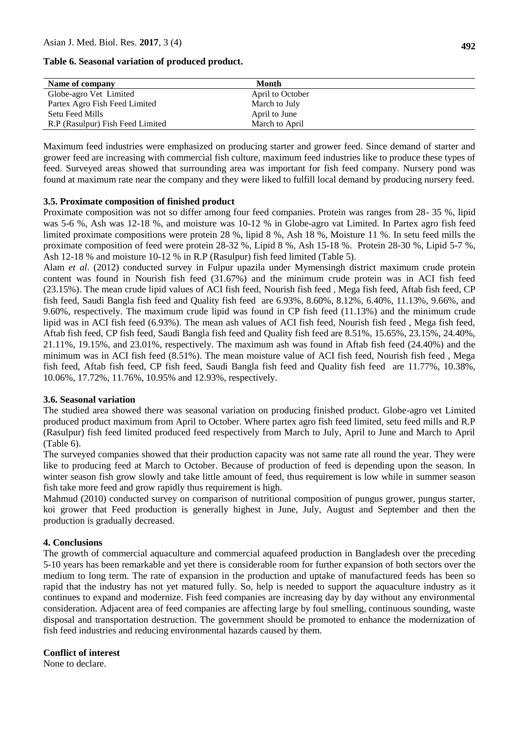**Table 6. Seasonal variation of produced product.**

| Name of company                  | Month            |  |
|----------------------------------|------------------|--|
| Globe-agro Vet Limited           | April to October |  |
| Partex Agro Fish Feed Limited    | March to July    |  |
| Setu Feed Mills                  | April to June    |  |
| R.P (Rasulpur) Fish Feed Limited | March to April   |  |

Maximum feed industries were emphasized on producing starter and grower feed. Since demand of starter and grower feed are increasing with commercial fish culture, maximum feed industries like to produce these types of feed. Surveyed areas showed that surrounding area was important for fish feed company. Nursery pond was found at maximum rate near the company and they were liked to fulfill local demand by producing nursery feed.

### **3.5. Proximate composition of finished product**

Proximate composition was not so differ among four feed companies. Protein was ranges from 28- 35 %, lipid was 5-6 %, Ash was 12-18 %, and moisture was 10-12 % in Globe-agro vat Limited. In Partex agro fish feed limited proximate compositions were protein 28 %, lipid 8 %, Ash 18 %, Moisture 11 %. In setu feed mills the proximate composition of feed were protein 28-32 %, Lipid 8 %, Ash 15-18 %. Protein 28-30 %, Lipid 5-7 %, Ash 12-18 % and moisture 10-12 % in R.P (Rasulpur) fish feed limited (Table 5).

Alam *et al*. (2012) conducted survey in Fulpur upazila under Mymensingh district maximum crude protein content was found in Nourish fish feed (31.67%) and the minimum crude protein was in ACI fish feed (23.15%). The mean crude lipid values of ACI fish feed, Nourish fish feed , Mega fish feed, Aftab fish feed, CP fish feed, Saudi Bangla fish feed and Quality fish feed are 6.93%, 8.60%, 8.12%, 6.40%, 11.13%, 9.66%, and 9.60%, respectively. The maximum crude lipid was found in CP fish feed (11.13%) and the minimum crude lipid was in ACI fish feed (6.93%). The mean ash values of ACI fish feed, Nourish fish feed , Mega fish feed, Aftab fish feed, CP fish feed, Saudi Bangla fish feed and Quality fish feed are 8.51%, 15.65%, 23.15%, 24.40%, 21.11%, 19.15%, and 23.01%, respectively. The maximum ash was found in Aftab fish feed (24.40%) and the minimum was in ACI fish feed (8.51%). The mean moisture value of ACI fish feed, Nourish fish feed , Mega fish feed, Aftab fish feed, CP fish feed, Saudi Bangla fish feed and Quality fish feed are 11.77%, 10.38%, 10.06%, 17.72%, 11.76%, 10.95% and 12.93%, respectively.

#### **3.6. Seasonal variation**

The studied area showed there was seasonal variation on producing finished product. Globe-agro vet Limited produced product maximum from April to October. Where partex agro fish feed limited, setu feed mills and R.P (Rasulpur) fish feed limited produced feed respectively from March to July, April to June and March to April (Table 6).

The surveyed companies showed that their production capacity was not same rate all round the year. They were like to producing feed at March to October. Because of production of feed is depending upon the season. In winter season fish grow slowly and take little amount of feed, thus requirement is low while in summer season fish take more feed and grow rapidly thus requirement is high.

Mahmud (2010) conducted survey on comparison of nutritional composition of pungus grower, pungus starter, koi grower that Feed production is generally highest in June, July, August and September and then the production is gradually decreased.

## **4. Conclusions**

The growth of commercial aquaculture and commercial aquafeed production in Bangladesh over the preceding 5-10 years has been remarkable and yet there is considerable room for further expansion of both sectors over the medium to long term. The rate of expansion in the production and uptake of manufactured feeds has been so rapid that the industry has not yet matured fully. So, help is needed to support the aquaculture industry as it continues to expand and modernize. Fish feed companies are increasing day by day without any environmental consideration. Adjacent area of feed companies are affecting large by foul smelling, continuous sounding, waste disposal and transportation destruction. The government should be promoted to enhance the modernization of fish feed industries and reducing environmental hazards caused by them.

## **Conflict of interest**

None to declare.